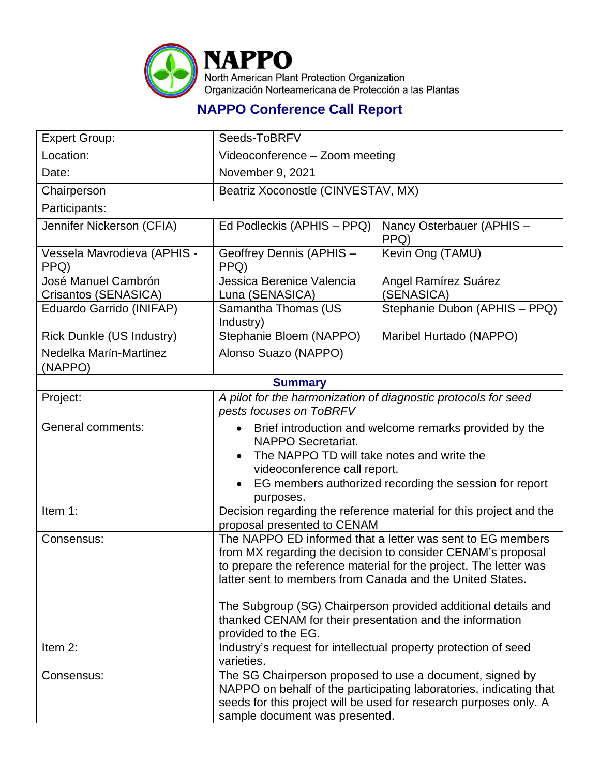

## **NAPPO Conference Call Report**

| <b>Expert Group:</b>                        | Seeds-ToBRFV                                                                                                                                                                                                                                                                                                                                                                                                    |                                                                                                                                                                                                     |
|---------------------------------------------|-----------------------------------------------------------------------------------------------------------------------------------------------------------------------------------------------------------------------------------------------------------------------------------------------------------------------------------------------------------------------------------------------------------------|-----------------------------------------------------------------------------------------------------------------------------------------------------------------------------------------------------|
| Location:                                   | Videoconference - Zoom meeting                                                                                                                                                                                                                                                                                                                                                                                  |                                                                                                                                                                                                     |
| Date:                                       | November 9, 2021                                                                                                                                                                                                                                                                                                                                                                                                |                                                                                                                                                                                                     |
| Chairperson                                 | Beatriz Xoconostle (CINVESTAV, MX)                                                                                                                                                                                                                                                                                                                                                                              |                                                                                                                                                                                                     |
| Participants:                               |                                                                                                                                                                                                                                                                                                                                                                                                                 |                                                                                                                                                                                                     |
| Jennifer Nickerson (CFIA)                   | Ed Podleckis (APHIS – PPQ)                                                                                                                                                                                                                                                                                                                                                                                      | Nancy Osterbauer (APHIS -<br>PPQ)                                                                                                                                                                   |
| Vessela Mavrodieva (APHIS -<br>PPQ)         | Geoffrey Dennis (APHIS -<br>PPQ)                                                                                                                                                                                                                                                                                                                                                                                | Kevin Ong (TAMU)                                                                                                                                                                                    |
| José Manuel Cambrón<br>Crisantos (SENASICA) | Jessica Berenice Valencia<br>Luna (SENASICA)                                                                                                                                                                                                                                                                                                                                                                    | Angel Ramírez Suárez<br>(SENASICA)                                                                                                                                                                  |
| Eduardo Garrido (INIFAP)                    | Samantha Thomas (US<br>Industry)                                                                                                                                                                                                                                                                                                                                                                                | Stephanie Dubon (APHIS - PPQ)                                                                                                                                                                       |
| <b>Rick Dunkle (US Industry)</b>            | Stephanie Bloem (NAPPO)                                                                                                                                                                                                                                                                                                                                                                                         | Maribel Hurtado (NAPPO)                                                                                                                                                                             |
| Nedelka Marín-Martínez<br>(NAPPO)           | Alonso Suazo (NAPPO)                                                                                                                                                                                                                                                                                                                                                                                            |                                                                                                                                                                                                     |
|                                             | <b>Summary</b>                                                                                                                                                                                                                                                                                                                                                                                                  |                                                                                                                                                                                                     |
| Project:                                    | pests focuses on ToBRFV                                                                                                                                                                                                                                                                                                                                                                                         | A pilot for the harmonization of diagnostic protocols for seed                                                                                                                                      |
| General comments:                           | NAPPO Secretariat.<br>The NAPPO TD will take notes and write the<br>videoconference call report.<br>purposes.                                                                                                                                                                                                                                                                                                   | Brief introduction and welcome remarks provided by the<br>EG members authorized recording the session for report                                                                                    |
| Item 1:                                     | proposal presented to CENAM                                                                                                                                                                                                                                                                                                                                                                                     | Decision regarding the reference material for this project and the                                                                                                                                  |
| Consensus:                                  | The NAPPO ED informed that a letter was sent to EG members<br>from MX regarding the decision to consider CENAM's proposal<br>to prepare the reference material for the project. The letter was<br>latter sent to members from Canada and the United States.<br>The Subgroup (SG) Chairperson provided additional details and<br>thanked CENAM for their presentation and the information<br>provided to the EG. |                                                                                                                                                                                                     |
| Item 2:                                     | Industry's request for intellectual property protection of seed<br>varieties.                                                                                                                                                                                                                                                                                                                                   |                                                                                                                                                                                                     |
| Consensus:                                  | sample document was presented.                                                                                                                                                                                                                                                                                                                                                                                  | The SG Chairperson proposed to use a document, signed by<br>NAPPO on behalf of the participating laboratories, indicating that<br>seeds for this project will be used for research purposes only. A |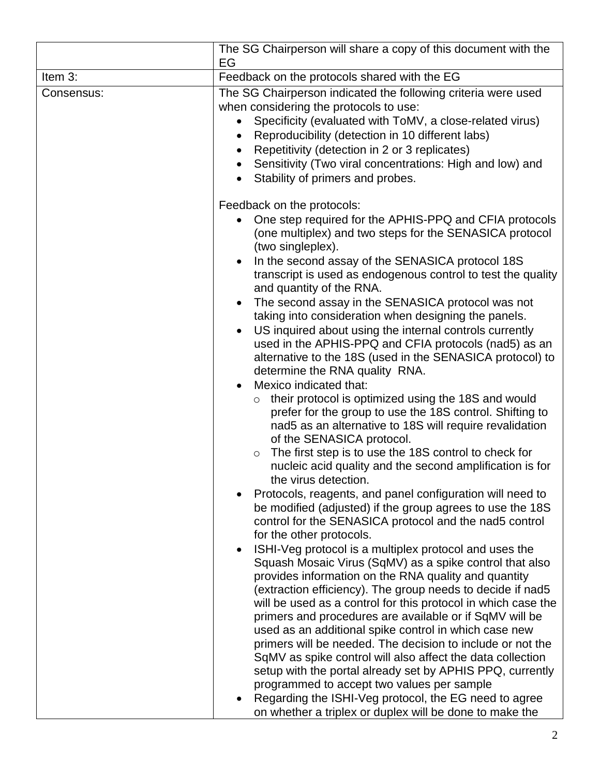|            | The SG Chairperson will share a copy of this document with the<br>EG                                                                                                                                                                                                                                                                                                                                                                                                                                                                                                                                                                                                                                                                                                                                                                                                                                                                                                                                                                                                      |
|------------|---------------------------------------------------------------------------------------------------------------------------------------------------------------------------------------------------------------------------------------------------------------------------------------------------------------------------------------------------------------------------------------------------------------------------------------------------------------------------------------------------------------------------------------------------------------------------------------------------------------------------------------------------------------------------------------------------------------------------------------------------------------------------------------------------------------------------------------------------------------------------------------------------------------------------------------------------------------------------------------------------------------------------------------------------------------------------|
| Item 3:    | Feedback on the protocols shared with the EG                                                                                                                                                                                                                                                                                                                                                                                                                                                                                                                                                                                                                                                                                                                                                                                                                                                                                                                                                                                                                              |
| Consensus: | The SG Chairperson indicated the following criteria were used<br>when considering the protocols to use:<br>Specificity (evaluated with ToMV, a close-related virus)<br>Reproducibility (detection in 10 different labs)<br>Repetitivity (detection in 2 or 3 replicates)<br>Sensitivity (Two viral concentrations: High and low) and<br>$\bullet$<br>Stability of primers and probes.                                                                                                                                                                                                                                                                                                                                                                                                                                                                                                                                                                                                                                                                                     |
|            | Feedback on the protocols:<br>One step required for the APHIS-PPQ and CFIA protocols<br>(one multiplex) and two steps for the SENASICA protocol<br>(two singleplex).<br>In the second assay of the SENASICA protocol 18S<br>transcript is used as endogenous control to test the quality<br>and quantity of the RNA.<br>The second assay in the SENASICA protocol was not<br>taking into consideration when designing the panels.<br>US inquired about using the internal controls currently<br>$\bullet$<br>used in the APHIS-PPQ and CFIA protocols (nad5) as an<br>alternative to the 18S (used in the SENASICA protocol) to<br>determine the RNA quality RNA.<br>Mexico indicated that:<br>their protocol is optimized using the 18S and would<br>$\circ$<br>prefer for the group to use the 18S control. Shifting to<br>nad5 as an alternative to 18S will require revalidation<br>of the SENASICA protocol.<br>The first step is to use the 18S control to check for<br>$\circ$<br>nucleic acid quality and the second amplification is for<br>the virus detection. |
|            | Protocols, reagents, and panel configuration will need to<br>be modified (adjusted) if the group agrees to use the 18S<br>control for the SENASICA protocol and the nad5 control<br>for the other protocols.<br>ISHI-Veg protocol is a multiplex protocol and uses the<br>$\bullet$<br>Squash Mosaic Virus (SqMV) as a spike control that also<br>provides information on the RNA quality and quantity<br>(extraction efficiency). The group needs to decide if nad5<br>will be used as a control for this protocol in which case the<br>primers and procedures are available or if SqMV will be<br>used as an additional spike control in which case new<br>primers will be needed. The decision to include or not the<br>SqMV as spike control will also affect the data collection<br>setup with the portal already set by APHIS PPQ, currently<br>programmed to accept two values per sample<br>Regarding the ISHI-Veg protocol, the EG need to agree<br>on whether a triplex or duplex will be done to make the                                                      |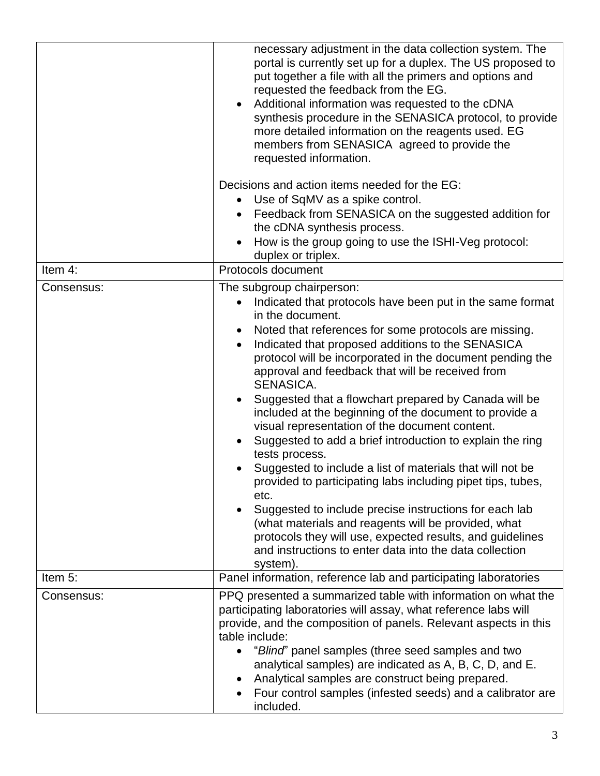|            | necessary adjustment in the data collection system. The<br>portal is currently set up for a duplex. The US proposed to<br>put together a file with all the primers and options and<br>requested the feedback from the EG.<br>Additional information was requested to the cDNA<br>synthesis procedure in the SENASICA protocol, to provide<br>more detailed information on the reagents used. EG<br>members from SENASICA agreed to provide the<br>requested information.<br>Decisions and action items needed for the EG:<br>Use of SqMV as a spike control.<br>Feedback from SENASICA on the suggested addition for<br>the cDNA synthesis process.<br>How is the group going to use the ISHI-Veg protocol:<br>duplex or triplex.                                                                                                                                                                                                                                                                   |
|------------|-----------------------------------------------------------------------------------------------------------------------------------------------------------------------------------------------------------------------------------------------------------------------------------------------------------------------------------------------------------------------------------------------------------------------------------------------------------------------------------------------------------------------------------------------------------------------------------------------------------------------------------------------------------------------------------------------------------------------------------------------------------------------------------------------------------------------------------------------------------------------------------------------------------------------------------------------------------------------------------------------------|
| Item 4:    | Protocols document                                                                                                                                                                                                                                                                                                                                                                                                                                                                                                                                                                                                                                                                                                                                                                                                                                                                                                                                                                                  |
| Consensus: | The subgroup chairperson:<br>Indicated that protocols have been put in the same format<br>in the document.<br>Noted that references for some protocols are missing.<br>Indicated that proposed additions to the SENASICA<br>protocol will be incorporated in the document pending the<br>approval and feedback that will be received from<br>SENASICA.<br>Suggested that a flowchart prepared by Canada will be<br>included at the beginning of the document to provide a<br>visual representation of the document content.<br>Suggested to add a brief introduction to explain the ring<br>tests process.<br>Suggested to include a list of materials that will not be<br>provided to participating labs including pipet tips, tubes,<br>etc.<br>Suggested to include precise instructions for each lab<br>(what materials and reagents will be provided, what<br>protocols they will use, expected results, and guidelines<br>and instructions to enter data into the data collection<br>system). |
| Item 5:    | Panel information, reference lab and participating laboratories                                                                                                                                                                                                                                                                                                                                                                                                                                                                                                                                                                                                                                                                                                                                                                                                                                                                                                                                     |
| Consensus: | PPQ presented a summarized table with information on what the<br>participating laboratories will assay, what reference labs will<br>provide, and the composition of panels. Relevant aspects in this<br>table include:<br>"Blind" panel samples (three seed samples and two<br>analytical samples) are indicated as A, B, C, D, and E.<br>Analytical samples are construct being prepared.<br>Four control samples (infested seeds) and a calibrator are<br>included.                                                                                                                                                                                                                                                                                                                                                                                                                                                                                                                               |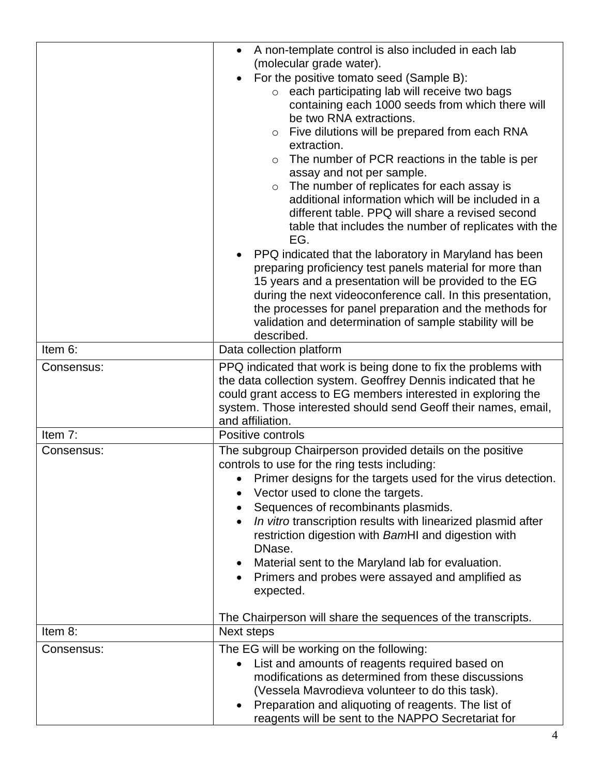|                       | A non-template control is also included in each lab                                                         |  |
|-----------------------|-------------------------------------------------------------------------------------------------------------|--|
|                       | (molecular grade water).                                                                                    |  |
|                       | For the positive tomato seed (Sample B):                                                                    |  |
|                       | o each participating lab will receive two bags                                                              |  |
|                       | containing each 1000 seeds from which there will                                                            |  |
|                       | be two RNA extractions.                                                                                     |  |
|                       | Five dilutions will be prepared from each RNA<br>$\circ$<br>extraction.                                     |  |
|                       | The number of PCR reactions in the table is per<br>$\circ$                                                  |  |
|                       | assay and not per sample.                                                                                   |  |
|                       | The number of replicates for each assay is<br>$\circ$<br>additional information which will be included in a |  |
|                       | different table. PPQ will share a revised second                                                            |  |
|                       |                                                                                                             |  |
|                       | table that includes the number of replicates with the<br>EG.                                                |  |
|                       | PPQ indicated that the laboratory in Maryland has been                                                      |  |
|                       | preparing proficiency test panels material for more than                                                    |  |
|                       | 15 years and a presentation will be provided to the EG                                                      |  |
|                       | during the next videoconference call. In this presentation,                                                 |  |
|                       | the processes for panel preparation and the methods for                                                     |  |
|                       | validation and determination of sample stability will be                                                    |  |
|                       | described.                                                                                                  |  |
| Item 6:               | Data collection platform                                                                                    |  |
| Consensus:            | PPQ indicated that work is being done to fix the problems with                                              |  |
|                       | the data collection system. Geoffrey Dennis indicated that he                                               |  |
|                       | could grant access to EG members interested in exploring the                                                |  |
|                       | system. Those interested should send Geoff their names, email,                                              |  |
|                       | and affiliation.                                                                                            |  |
| Item 7:<br>Consensus: | Positive controls<br>The subgroup Chairperson provided details on the positive                              |  |
|                       | controls to use for the ring tests including:                                                               |  |
|                       | Primer designs for the targets used for the virus detection.                                                |  |
|                       | Vector used to clone the targets.                                                                           |  |
|                       | Sequences of recombinants plasmids.                                                                         |  |
|                       | In vitro transcription results with linearized plasmid after                                                |  |
|                       | restriction digestion with BamHI and digestion with                                                         |  |
|                       | DNase.                                                                                                      |  |
|                       | Material sent to the Maryland lab for evaluation.                                                           |  |
|                       | Primers and probes were assayed and amplified as                                                            |  |
|                       | expected.                                                                                                   |  |
|                       |                                                                                                             |  |
| Item 8:               | The Chairperson will share the sequences of the transcripts.                                                |  |
|                       | Next steps                                                                                                  |  |
| Consensus:            | The EG will be working on the following:                                                                    |  |
|                       | List and amounts of reagents required based on                                                              |  |
|                       | modifications as determined from these discussions                                                          |  |
|                       | (Vessela Mavrodieva volunteer to do this task).                                                             |  |
|                       | Preparation and aliquoting of reagents. The list of                                                         |  |
|                       | reagents will be sent to the NAPPO Secretariat for                                                          |  |